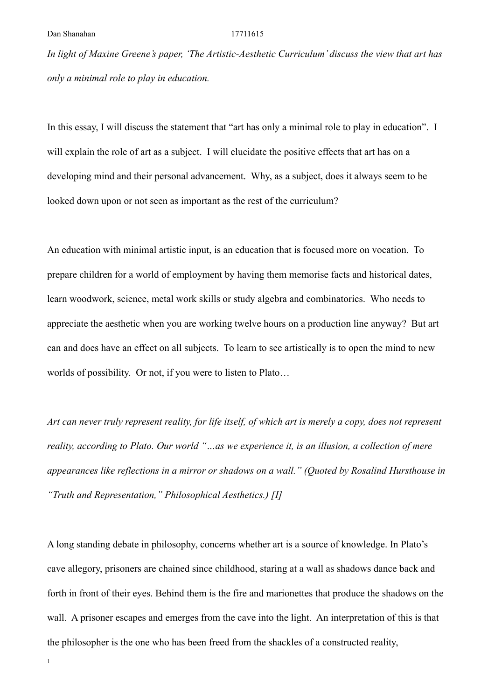*In light of Maxine Greene's paper, 'The Artistic-Aesthetic Curriculum' discuss the view that art has only a minimal role to play in education.*

In this essay, I will discuss the statement that "art has only a minimal role to play in education". I will explain the role of art as a subject. I will elucidate the positive effects that art has on a developing mind and their personal advancement. Why, as a subject, does it always seem to be looked down upon or not seen as important as the rest of the curriculum?

An education with minimal artistic input, is an education that is focused more on vocation. To prepare children for a world of employment by having them memorise facts and historical dates, learn woodwork, science, metal work skills or study algebra and combinatorics. Who needs to appreciate the aesthetic when you are working twelve hours on a production line anyway? But art can and does have an effect on all subjects. To learn to see artistically is to open the mind to new worlds of possibility. Or not, if you were to listen to Plato…

*Art can never truly represent reality, for life itself, of which art is merely a copy, does not represent reality, according to Plato. Our world "…as we experience it, is an illusion, a collection of mere appearances like reflections in a mirror or shadows on a wall." (Quoted by Rosalind Hursthouse in "Truth and Representation," Philosophical Aesthetics.) [I]*

A long standing debate in philosophy, concerns whether art is a source of knowledge. In Plato's cave allegory, prisoners are chained since childhood, staring at a wall as shadows dance back and forth in front of their eyes. Behind them is the fire and marionettes that produce the shadows on the wall. A prisoner escapes and emerges from the cave into the light. An interpretation of this is that the philosopher is the one who has been freed from the shackles of a constructed reality,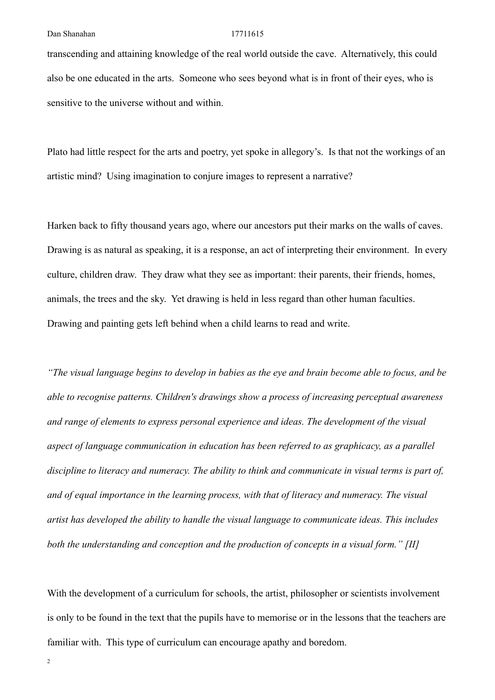transcending and attaining knowledge of the real world outside the cave. Alternatively, this could also be one educated in the arts. Someone who sees beyond what is in front of their eyes, who is sensitive to the universe without and within.

Plato had little respect for the arts and poetry, yet spoke in allegory's. Is that not the workings of an artistic mind? Using imagination to conjure images to represent a narrative?

Harken back to fifty thousand years ago, where our ancestors put their marks on the walls of caves. Drawing is as natural as speaking, it is a response, an act of interpreting their environment. In every culture, children draw. They draw what they see as important: their parents, their friends, homes, animals, the trees and the sky. Yet drawing is held in less regard than other human faculties. Drawing and painting gets left behind when a child learns to read and write.

*"The visual language begins to develop in babies as the eye and brain become able to focus, and be able to recognise patterns. Children's drawings show a process of increasing perceptual awareness and range of elements to express personal experience and ideas. The development of the visual aspect of language communication in education has been referred to as [graphicacy](https://en.m.wikipedia.org/wiki/Graphicacy), as a parallel discipline to literacy and numeracy. The ability to think and communicate in visual terms is part of, and of equal importance in the learning process, with that of literacy and numeracy. The visual artist has developed the ability to handle the visual language to communicate ideas. This includes both the understanding and conception and the production of concepts in a visual form." [II]*

With the development of a curriculum for schools, the artist, philosopher or scientists involvement is only to be found in the text that the pupils have to memorise or in the lessons that the teachers are familiar with. This type of curriculum can encourage apathy and boredom.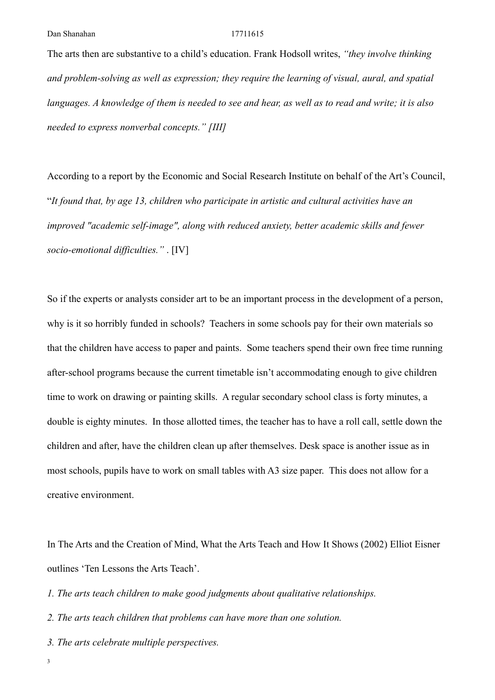The arts then are substantive to a child's education. Frank Hodsoll writes, *"they involve thinking and problem-solving as well as expression; they require the learning of visual, aural, and spatial languages. A knowledge of them is needed to see and hear, as well as to read and write; it is also needed to express nonverbal concepts." [III]*

According to a report by the Economic and Social Research Institute on behalf of the Art's Council, "*It found that, by age 13, children who participate in artistic and cultural activities have an improved "academic self-image", along with reduced anxiety, better academic skills and fewer socio-emotional difficulties."* . [IV]

So if the experts or analysts consider art to be an important process in the development of a person, why is it so horribly funded in schools? Teachers in some schools pay for their own materials so that the children have access to paper and paints. Some teachers spend their own free time running after-school programs because the current timetable isn't accommodating enough to give children time to work on drawing or painting skills. A regular secondary school class is forty minutes, a double is eighty minutes. In those allotted times, the teacher has to have a roll call, settle down the children and after, have the children clean up after themselves. Desk space is another issue as in most schools, pupils have to work on small tables with A3 size paper. This does not allow for a creative environment.

In The Arts and the Creation of Mind, What the Arts Teach and How It Shows (2002) Elliot Eisner outlines 'Ten Lessons the Arts Teach'.

*1. The arts teach children to make good judgments about qualitative relationships.*

*2. The arts teach children that problems can have more than one solution.*

*3. The arts celebrate multiple perspectives.*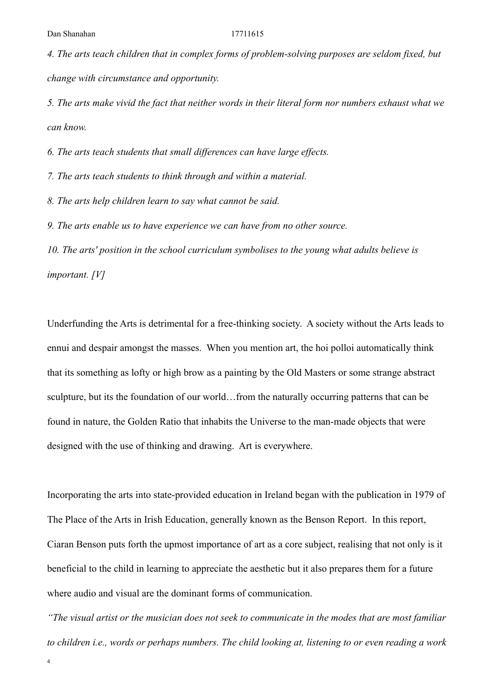*4. The arts teach children that in complex forms of problem-solving purposes are seldom fixed, but change with circumstance and opportunity.*

*5. The arts make vivid the fact that neither words in their literal form nor numbers exhaust what we can know.*

*6. The arts teach students that small differences can have large effects.*

*7. The arts teach students to think through and within a material.*

*8. The arts help children learn to say what cannot be said.*

*9. The arts enable us to have experience we can have from no other source.*

*10. The arts' position in the school curriculum symbolises to the young what adults believe is important. [V]*

Underfunding the Arts is detrimental for a free-thinking society. A society without the Arts leads to ennui and despair amongst the masses. When you mention art, the hoi polloi automatically think that its something as lofty or high brow as a painting by the Old Masters or some strange abstract sculpture, but its the foundation of our world…from the naturally occurring patterns that can be found in nature, the Golden Ratio that inhabits the Universe to the man-made objects that were designed with the use of thinking and drawing. Art is everywhere.

Incorporating the arts into state-provided education in Ireland began with the publication in 1979 of The Place of the Arts in Irish Education, generally known as the Benson Report. In this report, Ciaran Benson puts forth the upmost importance of art as a core subject, realising that not only is it beneficial to the child in learning to appreciate the aesthetic but it also prepares them for a future where audio and visual are the dominant forms of communication.

*"The visual artist or the musician does not seek to communicate in the modes that are most familiar to children i.e., words or perhaps numbers. The child looking at, listening to or even reading a work* 

4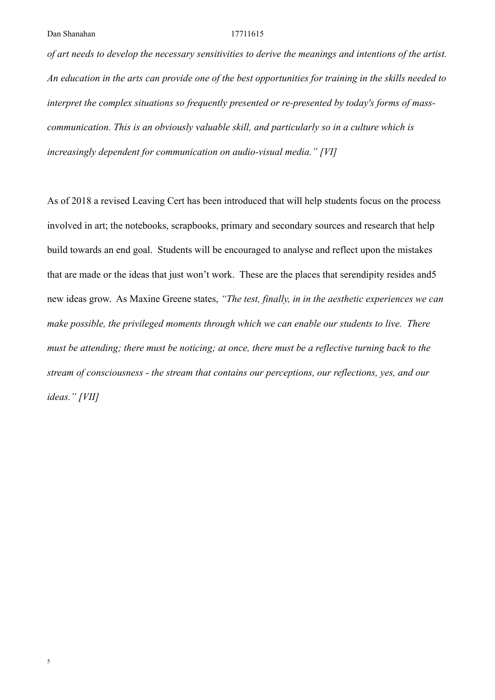*of art needs to develop the necessary sensitivities to derive the meanings and intentions of the artist. An education in the arts can provide one of the best opportunities for training in the skills needed to interpret the complex situations so frequently presented or re-presented by today's forms of masscommunication. This is an obviously valuable skill, and particularly so in a culture which is increasingly dependent for communication on audio-visual media." [VI]*

As of 2018 a revised Leaving Cert has been introduced that will help students focus on the process involved in art; the notebooks, scrapbooks, primary and secondary sources and research that help build towards an end goal. Students will be encouraged to analyse and reflect upon the mistakes that are made or the ideas that just won't work. These are the places that serendipity resides and5 new ideas grow. As Maxine Greene states, *"The test, finally, in in the aesthetic experiences we can make possible, the privileged moments through which we can enable our students to live. There must be attending; there must be noticing; at once, there must be a reflective turning back to the stream of consciousness - the stream that contains our perceptions, our reflections, yes, and our ideas." [VII]*